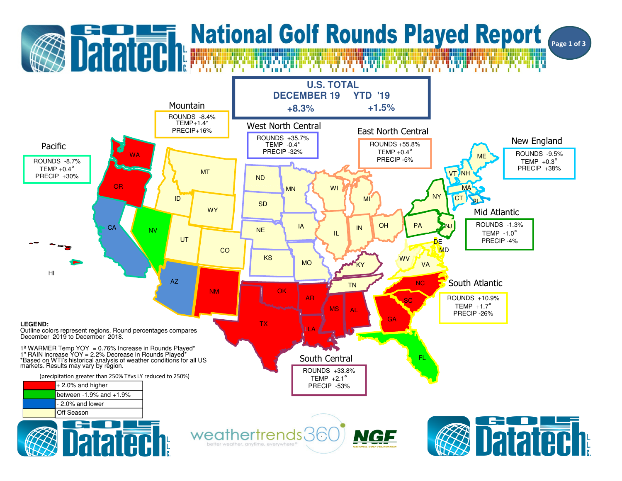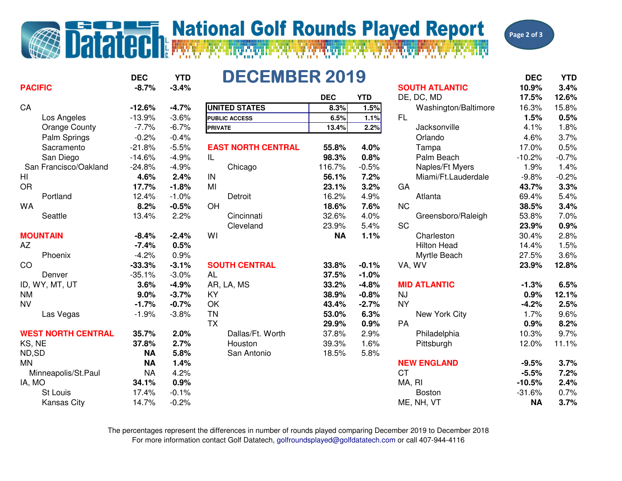## **Datated National Golf Rounds Played Report**



|                           | <b>DEC</b> | <b>YTD</b> | <b>DECEMBER 2019</b>      |            |            |                       | <b>DEC</b> | <b>YTD</b> |
|---------------------------|------------|------------|---------------------------|------------|------------|-----------------------|------------|------------|
| <b>PACIFIC</b>            | $-8.7%$    | $-3.4%$    |                           |            |            | <b>SOUTH ATLANTIC</b> | 10.9%      | 3.4%       |
|                           |            |            |                           | <b>DEC</b> | <b>YTD</b> | DE, DC, MD            | 17.5%      | 12.6%      |
| CA                        | $-12.6%$   | $-4.7%$    | <b>UNITED STATES</b>      | 8.3%       | 1.5%       | Washington/Baltimore  | 16.3%      | 15.8%      |
| Los Angeles               | $-13.9%$   | $-3.6%$    | <b>PUBLIC ACCESS</b>      | 6.5%       | 1.1%       | FL.                   | 1.5%       | 0.5%       |
| <b>Orange County</b>      | $-7.7%$    | $-6.7%$    | <b>PRIVATE</b>            | 13.4%      | 2.2%       | Jacksonville          | 4.1%       | 1.8%       |
| Palm Springs              | $-0.2%$    | $-0.4%$    |                           |            |            | Orlando               | 4.6%       | 3.7%       |
| Sacramento                | $-21.8%$   | $-5.5%$    | <b>EAST NORTH CENTRAL</b> | 55.8%      | 4.0%       | Tampa                 | 17.0%      | 0.5%       |
| San Diego                 | $-14.6%$   | $-4.9%$    | IL                        | 98.3%      | 0.8%       | Palm Beach            | $-10.2%$   | $-0.7%$    |
| San Francisco/Oakland     | $-24.8%$   | $-4.9%$    | Chicago                   | 116.7%     | $-0.5%$    | Naples/Ft Myers       | 1.9%       | 1.4%       |
| HI                        | 4.6%       | 2.4%       | IN                        | 56.1%      | 7.2%       | Miami/Ft.Lauderdale   | $-9.8%$    | $-0.2%$    |
| <b>OR</b>                 | 17.7%      | $-1.8%$    | MI                        | 23.1%      | 3.2%       | GA                    | 43.7%      | 3.3%       |
| Portland                  | 12.4%      | $-1.0%$    | Detroit                   | 16.2%      | 4.9%       | Atlanta               | 69.4%      | 5.4%       |
| <b>WA</b>                 | 8.2%       | $-0.5%$    | OH                        | 18.6%      | 7.6%       | <b>NC</b>             | 38.5%      | 3.4%       |
| Seattle                   | 13.4%      | 2.2%       | Cincinnati                | 32.6%      | 4.0%       | Greensboro/Raleigh    | 53.8%      | 7.0%       |
|                           |            |            | Cleveland                 | 23.9%      | 5.4%       | <b>SC</b>             | 23.9%      | 0.9%       |
| <b>MOUNTAIN</b>           | $-8.4%$    | $-2.4%$    | WI                        | <b>NA</b>  | 1.1%       | Charleston            | 30.4%      | 2.8%       |
| AZ                        | $-7.4%$    | 0.5%       |                           |            |            | <b>Hilton Head</b>    | 14.4%      | 1.5%       |
| Phoenix                   | $-4.2%$    | 0.9%       |                           |            |            | Myrtle Beach          | 27.5%      | 3.6%       |
| <sub>CO</sub>             | $-33.3%$   | $-3.1%$    | <b>SOUTH CENTRAL</b>      | 33.8%      | $-0.1%$    | VA, WV                | 23.9%      | 12.8%      |
| Denver                    | $-35.1%$   | $-3.0%$    | <b>AL</b>                 | 37.5%      | $-1.0%$    |                       |            |            |
| ID, WY, MT, UT            | 3.6%       | $-4.9%$    | AR, LA, MS                | 33.2%      | $-4.8%$    | <b>MID ATLANTIC</b>   | $-1.3%$    | 6.5%       |
| <b>NM</b>                 | 9.0%       | $-3.7%$    | KY                        | 38.9%      | $-0.8%$    | <b>NJ</b>             | 0.9%       | 12.1%      |
| <b>NV</b>                 | $-1.7%$    | $-0.7%$    | OK                        | 43.4%      | $-2.7%$    | <b>NY</b>             | $-4.2%$    | 2.5%       |
| Las Vegas                 | $-1.9%$    | $-3.8%$    | <b>TN</b>                 | 53.0%      | 6.3%       | New York City         | 1.7%       | 9.6%       |
|                           |            |            | <b>TX</b>                 | 29.9%      | 0.9%       | PA                    | 0.9%       | 8.2%       |
| <b>WEST NORTH CENTRAL</b> | 35.7%      | 2.0%       | Dallas/Ft. Worth          | 37.8%      | 2.9%       | Philadelphia          | 10.3%      | 9.7%       |
| KS, NE                    | 37.8%      | 2.7%       | Houston                   | 39.3%      | 1.6%       | Pittsburgh            | 12.0%      | 11.1%      |
| ND,SD                     | <b>NA</b>  | 5.8%       | San Antonio               | 18.5%      | 5.8%       |                       |            |            |
| <b>MN</b>                 | <b>NA</b>  | 1.4%       |                           |            |            | <b>NEW ENGLAND</b>    | $-9.5%$    | 3.7%       |
| Minneapolis/St.Paul       | <b>NA</b>  | 4.2%       |                           |            |            | <b>CT</b>             | $-5.5%$    | 7.2%       |
| IA, MO                    | 34.1%      | 0.9%       |                           |            |            | MA, RI                | $-10.5%$   | 2.4%       |
| St Louis                  | 17.4%      | $-0.1%$    |                           |            |            | <b>Boston</b>         | $-31.6%$   | 0.7%       |
| <b>Kansas City</b>        | 14.7%      | $-0.2%$    |                           |            |            | ME, NH, VT            | <b>NA</b>  | 3.7%       |

## For more information contact Golf Datatech, golfroundsplayed@golfdatatech.com or call 407-944-4116The percentages represent the differences in number of rounds played comparing December 2019 to December 2018